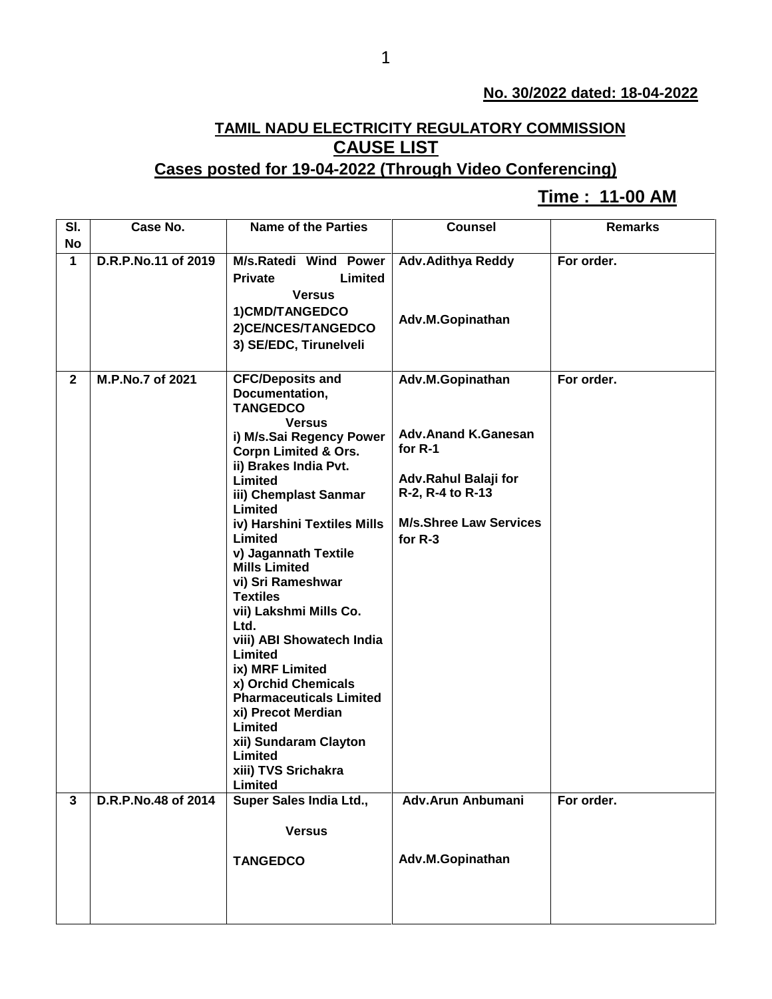## **No. 30/2022 dated: 18-04-2022**

## **TAMIL NADU ELECTRICITY REGULATORY COMMISSION CAUSE LIST**

## **Cases posted for 19-04-2022 (Through Video Conferencing)**

## **Time : 11-00 AM[**

| SI.          | Case No.            | <b>Name of the Parties</b>                   | <b>Counsel</b>                | <b>Remarks</b> |
|--------------|---------------------|----------------------------------------------|-------------------------------|----------------|
| No           |                     |                                              |                               |                |
| $\mathbf{1}$ | D.R.P.No.11 of 2019 | M/s.Ratedi Wind Power                        | <b>Adv.Adithya Reddy</b>      | For order.     |
|              |                     | Limited<br><b>Private</b>                    |                               |                |
|              |                     | <b>Versus</b>                                |                               |                |
|              |                     | 1) CMD/TANGEDCO                              | Adv.M.Gopinathan              |                |
|              |                     | 2) CE/NCES/TANGEDCO                          |                               |                |
|              |                     | 3) SE/EDC, Tirunelveli                       |                               |                |
|              |                     |                                              |                               |                |
| $\mathbf{2}$ | M.P.No.7 of 2021    | <b>CFC/Deposits and</b>                      | Adv.M.Gopinathan              | For order.     |
|              |                     | Documentation,                               |                               |                |
|              |                     | <b>TANGEDCO</b>                              |                               |                |
|              |                     | <b>Versus</b><br>i) M/s.Sai Regency Power    | <b>Adv.Anand K.Ganesan</b>    |                |
|              |                     | <b>Corpn Limited &amp; Ors.</b>              | for $R-1$                     |                |
|              |                     | ii) Brakes India Pvt.                        |                               |                |
|              |                     | Limited                                      | Adv.Rahul Balaji for          |                |
|              |                     | iii) Chemplast Sanmar                        | R-2, R-4 to R-13              |                |
|              |                     | Limited                                      |                               |                |
|              |                     | iv) Harshini Textiles Mills                  | <b>M/s.Shree Law Services</b> |                |
|              |                     | Limited                                      | for R-3                       |                |
|              |                     | v) Jagannath Textile<br><b>Mills Limited</b> |                               |                |
|              |                     | vi) Sri Rameshwar                            |                               |                |
|              |                     | <b>Textiles</b>                              |                               |                |
|              |                     | vii) Lakshmi Mills Co.                       |                               |                |
|              |                     | Ltd.                                         |                               |                |
|              |                     | viii) ABI Showatech India                    |                               |                |
|              |                     | Limited                                      |                               |                |
|              |                     | ix) MRF Limited                              |                               |                |
|              |                     | x) Orchid Chemicals                          |                               |                |
|              |                     | <b>Pharmaceuticals Limited</b>               |                               |                |
|              |                     | xi) Precot Merdian<br>Limited                |                               |                |
|              |                     | xii) Sundaram Clayton                        |                               |                |
|              |                     | Limited                                      |                               |                |
|              |                     | xiii) TVS Srichakra                          |                               |                |
|              |                     | Limited                                      |                               |                |
| $\mathbf{3}$ | D.R.P.No.48 of 2014 | Super Sales India Ltd.,                      | Adv.Arun Anbumani             | For order.     |
|              |                     |                                              |                               |                |
|              |                     | <b>Versus</b>                                |                               |                |
|              |                     | <b>TANGEDCO</b>                              | Adv.M.Gopinathan              |                |
|              |                     |                                              |                               |                |
|              |                     |                                              |                               |                |
|              |                     |                                              |                               |                |
|              |                     |                                              |                               |                |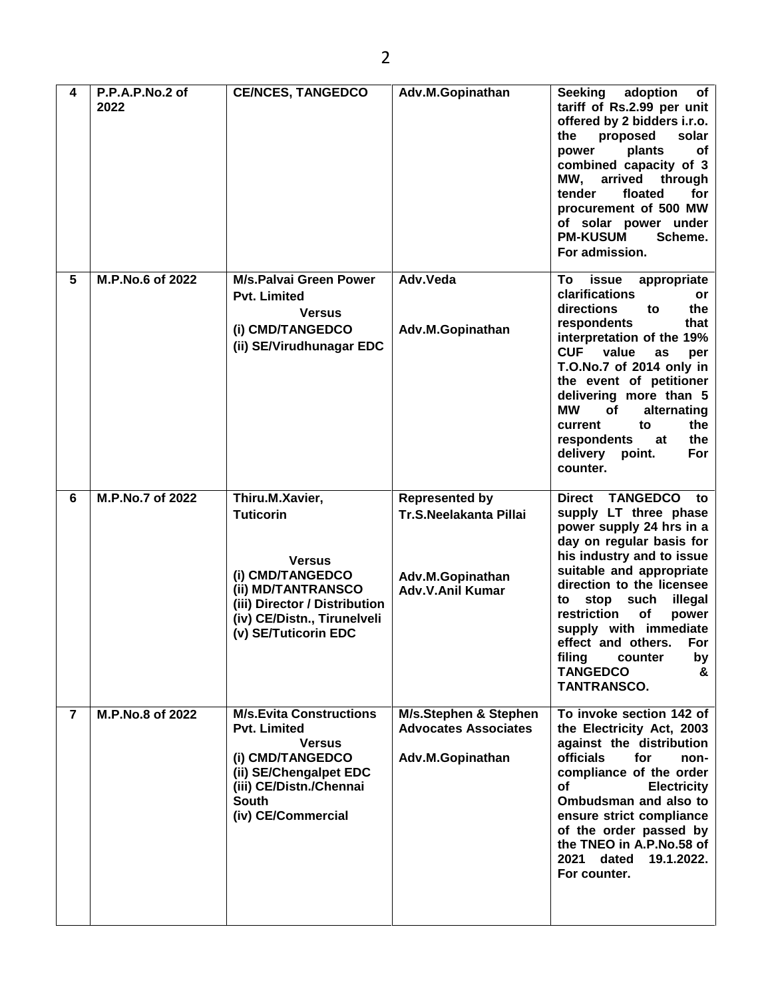2

**4 P.P.A.P.No.2 of** 

|                | 2022             |                                                                                                                                                                                        |                                                                                                       | tariff of Rs.2.99 per unit<br>offered by 2 bidders i.r.o.<br>proposed<br>solar<br>the<br>plants<br>оf<br>power<br>combined capacity of 3<br>MW.<br>arrived<br>through<br>tender<br>floated<br>for<br>procurement of 500 MW<br>of solar power under<br><b>PM-KUSUM</b><br>Scheme.<br>For admission.                                                                                                                 |
|----------------|------------------|----------------------------------------------------------------------------------------------------------------------------------------------------------------------------------------|-------------------------------------------------------------------------------------------------------|--------------------------------------------------------------------------------------------------------------------------------------------------------------------------------------------------------------------------------------------------------------------------------------------------------------------------------------------------------------------------------------------------------------------|
| 5              | M.P.No.6 of 2022 | <b>M/s.Palvai Green Power</b><br><b>Pvt. Limited</b><br><b>Versus</b><br>(i) CMD/TANGEDCO<br>(ii) SE/Virudhunagar EDC                                                                  | Adv.Veda<br>Adv.M.Gopinathan                                                                          | Τo<br>issue<br>appropriate<br>clarifications<br>or<br>directions<br>the<br>to<br>respondents<br>that<br>interpretation of the 19%<br><b>CUF</b><br>value<br>as<br>per<br>T.O.No.7 of 2014 only in<br>the event of petitioner<br>delivering more than 5<br>МW<br>of<br>alternating<br>to<br>the<br>current<br>the<br>respondents<br>at<br>delivery<br>For<br>point.<br>counter.                                     |
| 6              | M.P.No.7 of 2022 | Thiru.M.Xavier,<br><b>Tuticorin</b><br><b>Versus</b><br>(i) CMD/TANGEDCO<br>(ii) MD/TANTRANSCO<br>(iii) Director / Distribution<br>(iv) CE/Distn., Tirunelveli<br>(v) SE/Tuticorin EDC | <b>Represented by</b><br><b>Tr.S.Neelakanta Pillai</b><br>Adv.M.Gopinathan<br><b>Adv.V.Anil Kumar</b> | <b>TANGEDCO</b><br><b>Direct</b><br>to<br>supply LT three phase<br>power supply 24 hrs in a<br>day on regular basis for<br>his industry and to issue<br>suitable and appropriate<br>direction to the licensee<br>stop<br>such<br>illegal<br>to<br>restriction<br><b>of</b><br>power<br>supply with immediate<br>effect and others.<br>For<br>filing<br>counter<br>by<br><b>TANGEDCO</b><br>&<br><b>TANTRANSCO.</b> |
| $\overline{7}$ | M.P.No.8 of 2022 | <b>M/s.Evita Constructions</b><br><b>Pvt. Limited</b><br><b>Versus</b><br>(i) CMD/TANGEDCO<br>(ii) SE/Chengalpet EDC<br>(iii) CE/Distn./Chennai<br><b>South</b><br>(iv) CE/Commercial  | M/s.Stephen & Stephen<br><b>Advocates Associates</b><br>Adv.M.Gopinathan                              | To invoke section 142 of<br>the Electricity Act, 2003<br>against the distribution<br>officials<br>for<br>non-<br>compliance of the order<br><b>of</b><br><b>Electricity</b><br>Ombudsman and also to<br>ensure strict compliance<br>of the order passed by<br>the TNEO in A.P.No.58 of<br>2021<br>dated<br>19.1.2022.<br>For counter.                                                                              |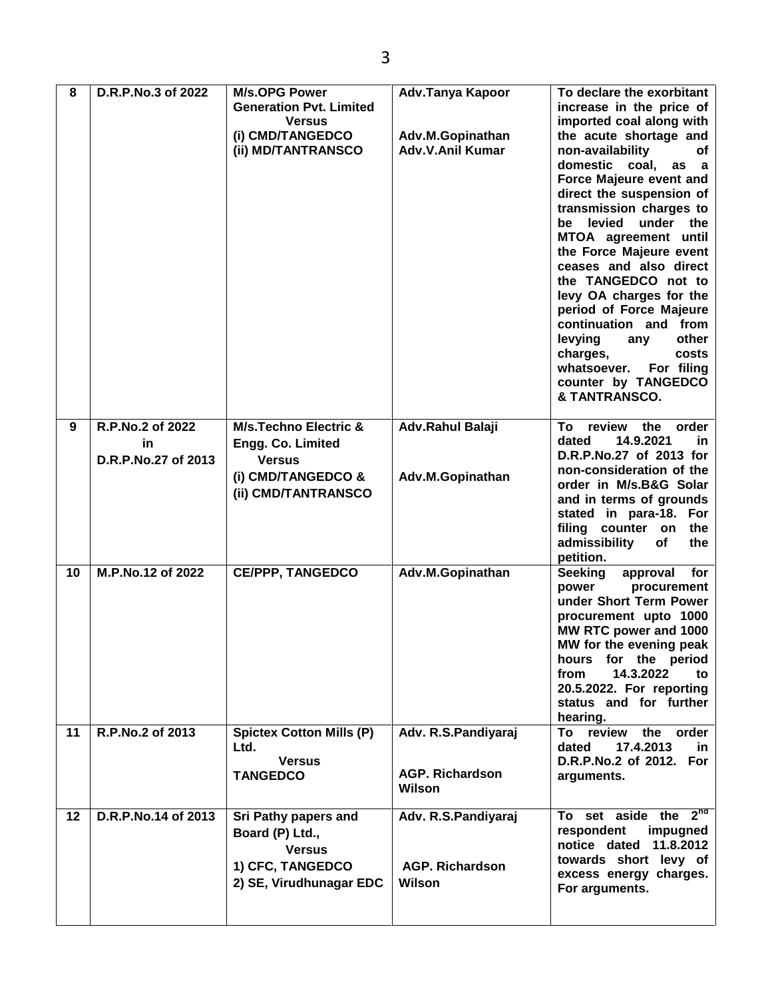| 8  | D.R.P.No.3 of 2022     | <b>M/s.OPG Power</b><br><b>Generation Pvt. Limited</b><br><b>Versus</b><br>(i) CMD/TANGEDCO<br>(ii) MD/TANTRANSCO | Adv.Tanya Kapoor<br>Adv.M.Gopinathan<br><b>Adv.V.Anil Kumar</b> | To declare the exorbitant<br>increase in the price of<br>imported coal along with<br>the acute shortage and<br>non-availability<br>of<br>domestic coal,<br>as a<br>Force Majeure event and<br>direct the suspension of<br>transmission charges to<br>levied<br>under the<br>be<br>MTOA agreement until<br>the Force Majeure event<br>ceases and also direct<br>the TANGEDCO not to<br>levy OA charges for the<br>period of Force Majeure<br>continuation and from<br>levying<br>other<br>any<br>charges,<br>costs<br>For filing<br>whatsoever.<br>counter by TANGEDCO<br>& TANTRANSCO. |
|----|------------------------|-------------------------------------------------------------------------------------------------------------------|-----------------------------------------------------------------|----------------------------------------------------------------------------------------------------------------------------------------------------------------------------------------------------------------------------------------------------------------------------------------------------------------------------------------------------------------------------------------------------------------------------------------------------------------------------------------------------------------------------------------------------------------------------------------|
| 9  | R.P.No.2 of 2022<br>in | <b>M/s.Techno Electric &amp;</b><br>Engg. Co. Limited                                                             | Adv.Rahul Balaji                                                | review the<br>order<br>To<br>14.9.2021<br>dated<br>in.                                                                                                                                                                                                                                                                                                                                                                                                                                                                                                                                 |
|    | D.R.P.No.27 of 2013    | <b>Versus</b>                                                                                                     |                                                                 | D.R.P.No.27 of 2013 for<br>non-consideration of the                                                                                                                                                                                                                                                                                                                                                                                                                                                                                                                                    |
|    |                        | (i) CMD/TANGEDCO &<br>(ii) CMD/TANTRANSCO                                                                         | Adv.M.Gopinathan                                                | order in M/s.B&G Solar<br>and in terms of grounds<br>stated in para-18. For<br>filing counter on<br>the<br>admissibility<br>of<br>the<br>petition.                                                                                                                                                                                                                                                                                                                                                                                                                                     |
| 10 | M.P.No.12 of 2022      | <b>CE/PPP, TANGEDCO</b>                                                                                           | Adv.M.Gopinathan                                                | <b>Seeking</b><br>approval for<br>power<br>procurement<br>under Short Term Power<br>procurement upto 1000<br>MW RTC power and 1000<br>MW for the evening peak<br>hours for the period<br>14.3.2022<br>from<br>to<br>20.5.2022. For reporting<br>status and for further<br>hearing.                                                                                                                                                                                                                                                                                                     |
| 11 | R.P.No.2 of 2013       | <b>Spictex Cotton Mills (P)</b><br>Ltd.<br><b>Versus</b><br><b>TANGEDCO</b>                                       | Adv. R.S.Pandiyaraj<br><b>AGP. Richardson</b><br>Wilson         | review the order<br>To<br>17.4.2013<br>dated<br>in<br>D.R.P.No.2 of 2012. For<br>arguments.                                                                                                                                                                                                                                                                                                                                                                                                                                                                                            |
| 12 | D.R.P.No.14 of 2013    | Sri Pathy papers and<br>Board (P) Ltd.,<br><b>Versus</b><br>1) CFC, TANGEDCO<br>2) SE, Virudhunagar EDC           | Adv. R.S.Pandiyaraj<br><b>AGP. Richardson</b><br>Wilson         | To set aside the $2^{nd}$<br>respondent<br>impugned<br>notice dated 11.8.2012<br>towards short levy of<br>excess energy charges.<br>For arguments.                                                                                                                                                                                                                                                                                                                                                                                                                                     |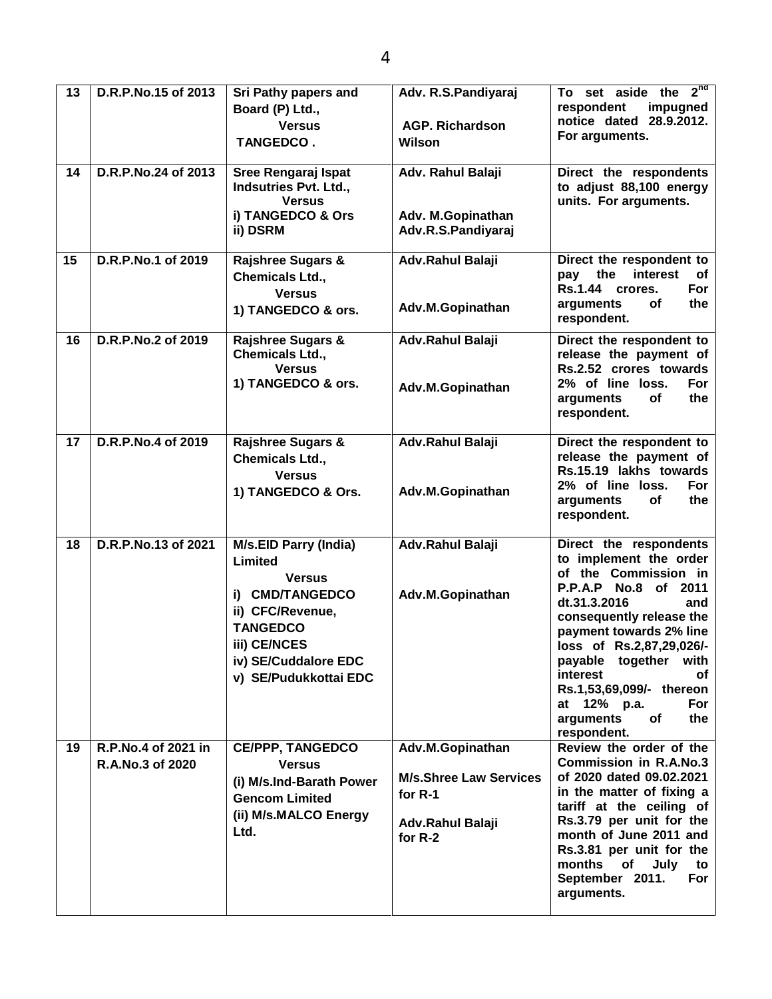| 13 | D.R.P.No.15 of 2013                     | Sri Pathy papers and<br>Board (P) Ltd.,<br><b>Versus</b><br><b>TANGEDCO.</b>                                                                                                        | Adv. R.S.Pandiyaraj<br><b>AGP. Richardson</b><br>Wilson                                     | To set aside the $2^{nd}$<br>respondent<br>impugned<br>notice dated 28.9.2012.<br>For arguments.                                                                                                                                                                                                                                                 |
|----|-----------------------------------------|-------------------------------------------------------------------------------------------------------------------------------------------------------------------------------------|---------------------------------------------------------------------------------------------|--------------------------------------------------------------------------------------------------------------------------------------------------------------------------------------------------------------------------------------------------------------------------------------------------------------------------------------------------|
| 14 | D.R.P.No.24 of 2013                     | Sree Rengaraj Ispat<br>Indsutries Pvt. Ltd.,<br><b>Versus</b><br>i) TANGEDCO & Ors<br>ii) DSRM                                                                                      | Adv. Rahul Balaji<br>Adv. M.Gopinathan<br>Adv.R.S.Pandiyaraj                                | Direct the respondents<br>to adjust 88,100 energy<br>units. For arguments.                                                                                                                                                                                                                                                                       |
| 15 | D.R.P.No.1 of 2019                      | <b>Rajshree Sugars &amp;</b><br>Chemicals Ltd.,<br><b>Versus</b><br>1) TANGEDCO & ors.                                                                                              | Adv.Rahul Balaji<br>Adv.M.Gopinathan                                                        | Direct the respondent to<br>the<br>interest<br>pay<br>оf<br>Rs.1.44 crores.<br>For<br>the<br><b>of</b><br>arguments<br>respondent.                                                                                                                                                                                                               |
| 16 | D.R.P.No.2 of 2019                      | <b>Rajshree Sugars &amp;</b><br>Chemicals Ltd.,<br><b>Versus</b><br>1) TANGEDCO & ors.                                                                                              | Adv.Rahul Balaji<br>Adv.M.Gopinathan                                                        | Direct the respondent to<br>release the payment of<br>Rs.2.52 crores towards<br>2% of line loss.<br>For<br>of<br>arguments<br>the<br>respondent.                                                                                                                                                                                                 |
| 17 | D.R.P.No.4 of 2019                      | <b>Rajshree Sugars &amp;</b><br>Chemicals Ltd.,<br><b>Versus</b><br>1) TANGEDCO & Ors.                                                                                              | Adv.Rahul Balaji<br>Adv.M.Gopinathan                                                        | Direct the respondent to<br>release the payment of<br>Rs.15.19 lakhs towards<br>2% of line loss.<br>For<br>arguments<br>оf<br>the<br>respondent.                                                                                                                                                                                                 |
| 18 | D.R.P.No.13 of 2021                     | <b>M/s.EID Parry (India)</b><br>Limited<br><b>Versus</b><br>i) CMD/TANGEDCO<br>ii) CFC/Revenue,<br><b>TANGEDCO</b><br>iii) CE/NCES<br>iv) SE/Cuddalore EDC<br>v) SE/Pudukkottai EDC | Adv.Rahul Balaji<br>Adv.M.Gopinathan                                                        | Direct the respondents<br>to implement the order<br>of the Commission in<br>P.P.A.P No.8 of 2011<br>dt.31.3.2016<br>and<br>consequently release the<br>payment towards 2% line<br>loss of Rs.2.87.29.026/-<br>payable together with<br>interest<br>оf<br>Rs.1,53,69,099/- thereon<br>at 12% p.a.<br>For<br>arguments<br>of<br>the<br>respondent. |
| 19 | R.P.No.4 of 2021 in<br>R.A.No.3 of 2020 | <b>CE/PPP, TANGEDCO</b><br><b>Versus</b><br>(i) M/s.Ind-Barath Power<br><b>Gencom Limited</b><br>(ii) M/s.MALCO Energy<br>Ltd.                                                      | Adv.M.Gopinathan<br><b>M/s.Shree Law Services</b><br>for R-1<br>Adv.Rahul Balaji<br>for R-2 | Review the order of the<br><b>Commission in R.A.No.3</b><br>of 2020 dated 09.02.2021<br>in the matter of fixing a<br>tariff at the ceiling of<br>Rs.3.79 per unit for the<br>month of June 2011 and<br>Rs.3.81 per unit for the<br>months of<br>July<br>to<br>September 2011.<br>For<br>arguments.                                               |